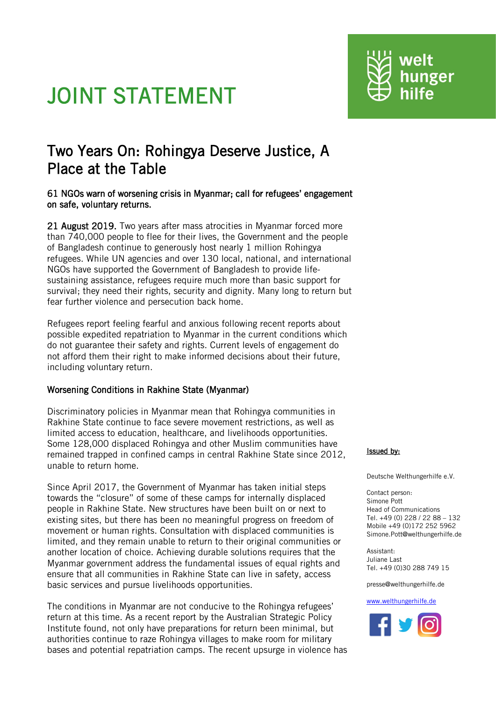# JOINT STATEMENT



## 61 NGOs warn of worsening crisis in Myanmar; call for refugees' engagement on safe, voluntary returns.

21 August 2019. Two years after mass atrocities in Myanmar forced more than 740,000 people to flee for their lives, the Government and the people of Bangladesh continue to generously host nearly 1 million Rohingya refugees. While UN agencies and over 130 local, national, and international NGOs have supported the Government of Bangladesh to provide lifesustaining assistance, refugees require much more than basic support for survival; they need their rights, security and dignity. Many long to return but fear further violence and persecution back home.

Refugees report feeling fearful and anxious following recent reports about possible expedited repatriation to Myanmar in the current conditions which do not guarantee their safety and rights. Current levels of engagement do not afford them their right to make informed decisions about their future, including voluntary return.

# Worsening Conditions in Rakhine State (Myanmar)

Discriminatory policies in Myanmar mean that Rohingya communities in Rakhine State continue to face severe movement restrictions, as well as limited access to education, healthcare, and livelihoods opportunities. Some 128,000 displaced Rohingya and other Muslim communities have remained trapped in confined camps in central Rakhine State since 2012, unable to return home.

Since April 2017, the Government of Myanmar has taken initial steps towards the "closure" of some of these camps for internally displaced people in Rakhine State. New structures have been built on or next to existing sites, but there has been no meaningful progress on freedom of movement or human rights. Consultation with displaced communities is limited, and they remain unable to return to their original communities or another location of choice. Achieving durable solutions requires that the Myanmar government address the fundamental issues of equal rights and ensure that all communities in Rakhine State can live in safety, access basic services and pursue livelihoods opportunities.

The conditions in Myanmar are not conducive to the Rohingya refugees' return at this time. As a recent report by the Australian Strategic Policy Institute found, not only have preparations for return been minimal, but authorities continue to raze Rohingya villages to make room for military bases and potential repatriation camps. The recent upsurge in violence has

## Issued by:

Deutsche Welthungerhilfe e.V.

welt

Contact person: Simone Pott Head of Communications Tel. +49 (0) 228 / 22 88 – 132 Mobile +49 (0)172 252 5962 Simone.Pott@welthungerhilfe.de

Assistant: Juliane Last Tel. +49 (0)30 288 749 15

presse@welthungerhilfe.de

#### [www.welthungerhilfe.de](http://www.welthungerhilfe.de/)

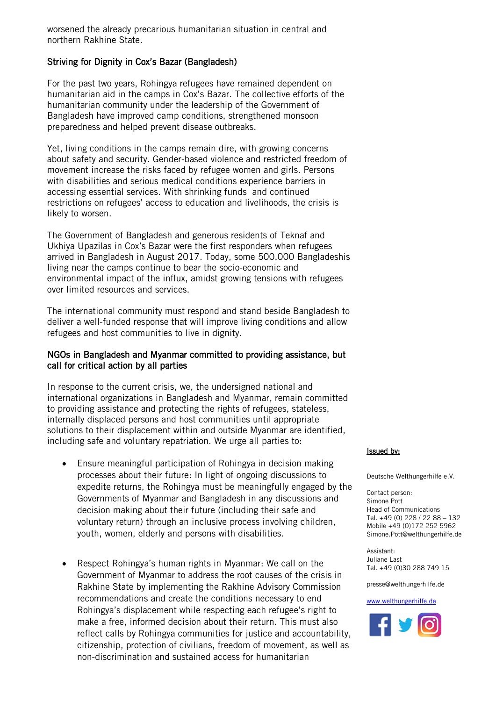worsened the already precarious humanitarian situation in central and northern Rakhine State.

## Striving for Dignity in Cox's Bazar (Bangladesh)

For the past two years, Rohingya refugees have remained dependent on humanitarian aid in the camps in Cox's Bazar. The collective efforts of the humanitarian community under the leadership of the Government of Bangladesh have improved camp conditions, strengthened monsoon preparedness and helped prevent disease outbreaks.

Yet, living conditions in the camps remain dire, with growing concerns about safety and security. Gender-based violence and restricted freedom of movement increase the risks faced by refugee women and girls. Persons with disabilities and serious medical conditions experience barriers in accessing essential services. With shrinking funds and continued restrictions on refugees' access to education and livelihoods, the crisis is likely to worsen.

The Government of Bangladesh and generous residents of Teknaf and Ukhiya Upazilas in Cox's Bazar were the first responders when refugees arrived in Bangladesh in August 2017. Today, some 500,000 Bangladeshis living near the camps continue to bear the socio-economic and environmental impact of the influx, amidst growing tensions with refugees over limited resources and services.

The international community must respond and stand beside Bangladesh to deliver a well-funded response that will improve living conditions and allow refugees and host communities to live in dignity.

## NGOs in Bangladesh and Myanmar committed to providing assistance, but call for critical action by all parties

In response to the current crisis, we, the undersigned national and international organizations in Bangladesh and Myanmar, remain committed to providing assistance and protecting the rights of refugees, stateless, internally displaced persons and host communities until appropriate solutions to their displacement within and outside Myanmar are identified, including safe and voluntary repatriation. We urge all parties to:

- Ensure meaningful participation of Rohingya in decision making processes about their future: In light of ongoing discussions to expedite returns, the Rohingya must be meaningfully engaged by the Governments of Myanmar and Bangladesh in any discussions and decision making about their future (including their safe and voluntary return) through an inclusive process involving children, youth, women, elderly and persons with disabilities.
- Respect Rohingya's human rights in Myanmar: We call on the Government of Myanmar to address the root causes of the crisis in Rakhine State by implementing the Rakhine Advisory Commission recommendations and create the conditions necessary to end Rohingya's displacement while respecting each refugee's right to make a free, informed decision about their return. This must also reflect calls by Rohingya communities for justice and accountability, citizenship, protection of civilians, freedom of movement, as well as non-discrimination and sustained access for humanitarian

#### Issued by:

Deutsche Welthungerhilfe e.V.

Contact person: Simone Pott Head of Communications Tel. +49 (0) 228 / 22 88 – 132 Mobile +49 (0)172 252 5962 Simone.Pott@welthungerhilfe.de

Assistant: Juliane Last Tel. +49 (0)30 288 749 15

presse@welthungerhilfe.de

#### [www.welthungerhilfe.de](http://www.welthungerhilfe.de/)